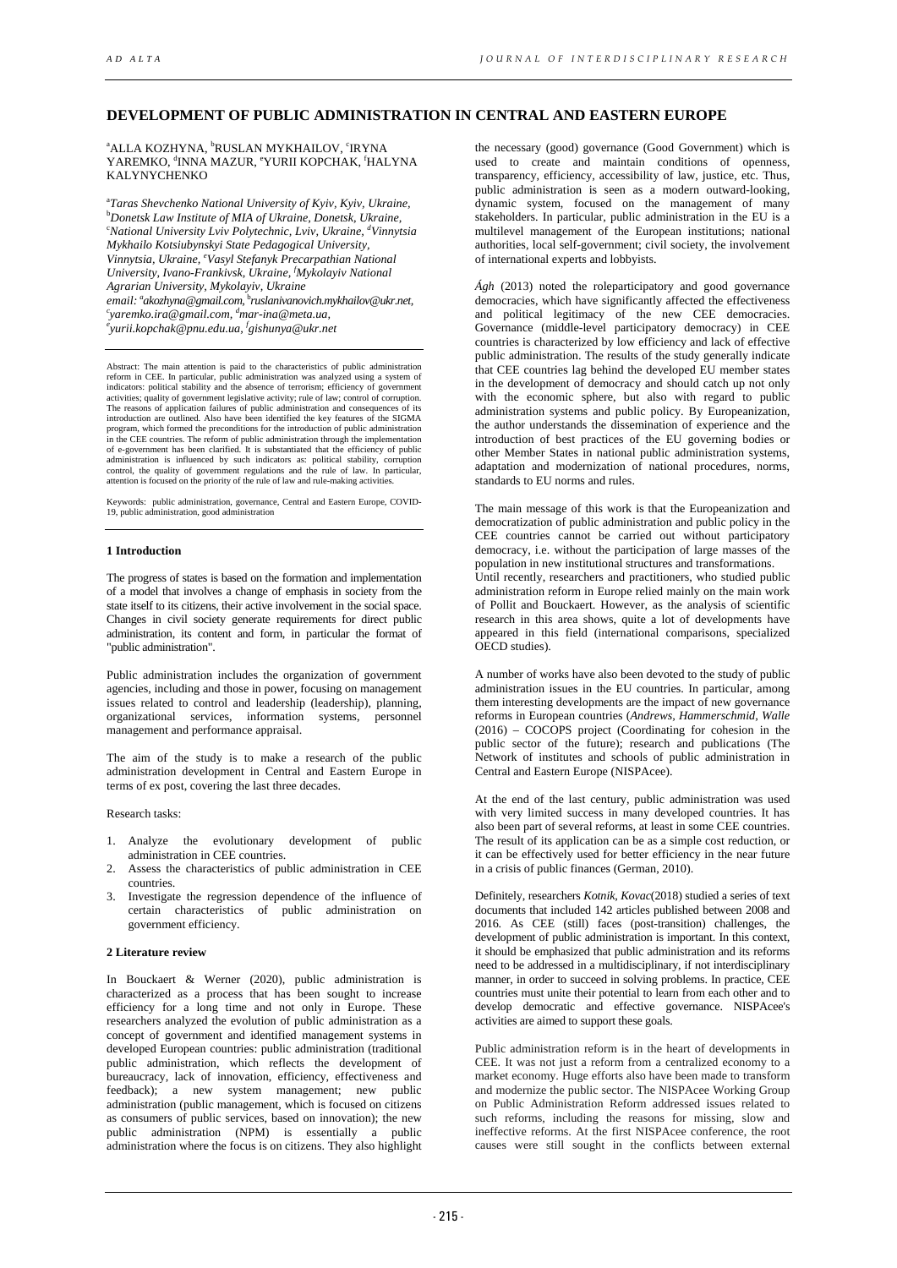## **DEVELOPMENT OF PUBLIC ADMINISTRATION IN CENTRAL AND EASTERN EUROPE**

<sup>a</sup>ALLA KOZHYNA, <sup>b</sup>RUSLAN MYKHAILOV, <sup>c</sup>IRYNA YAREMKO, <sup>d</sup>INNA MAZUR, <sup>e</sup>YURII KOPCHAK, <sup>f</sup>HALYNA KALYNYCHENKO

a *Taras Shevchenko National University of Kyiv, Kyiv, Ukraine,* b *Donetsk Law Institute of MIA of Ukraine, Donetsk, Ukraine,* c *National University Lviv Polytechnic, Lviv, Ukraine, d Vinnytsia Mykhailo Kotsiubynskyi State Pedagogical University, Vinnytsia, Ukraine, e Vasyl Stefanyk Precarpathian National University, Ivano-Frankivsk, Ukraine, f Mykolayiv National email: akozhyna@gmail.com,* <sup>b</sup> *ruslanivanovich.mykhailov@ukr.net, c Agrarian University, Mykolayiv, Ukraine a yaremko.ira@gmail.com, d mar-ina@meta.ua, e yurii.kopchak@pnu.edu.ua, f gishunya@ukr.net*

Abstract: The main attention is paid to the characteristics of public administration reform in CEE. In particular, public administration was analyzed using a system of indicators: political stability and the absence of terrorism; efficiency of government activities; quality of government legislative activity; rule of law; control of corruption. The reasons of application failures of public administration and consequences of its introduction are outlined. Also have been identified the key features of the SIGMA program, which formed the preconditions for the introduction of public administration in the CEE countries. The reform of public administration through the implementation of e-government has been clarified. It is substantiated that the efficiency of public administration is influenced by such indicators as: political stability, corruption control, the quality of government regulations and the rule of law. In particular, attention is focused on the priority of the rule of law and rule-making activities.

Keywords: public administration, governance, Central and Eastern Europe, COVID-19, public administration, good administration

## **1 Introduction**

The progress of states is based on the formation and implementation of a model that involves a change of emphasis in society from the state itself to its citizens, their active involvement in the social space. Changes in civil society generate requirements for direct public administration, its content and form, in particular the format of "public administration".

Public administration includes the organization of government agencies, including and those in power, focusing on management issues related to control and leadership (leadership), planning, organizational services, information systems, personnel management and performance appraisal.

The aim of the study is to make a research of the public administration development in Central and Eastern Europe in terms of ex post, covering the last three decades.

Research tasks:

- 1. Analyze the evolutionary development of public administration in CEE countries.
- 2. Assess the characteristics of public administration in CEE countries.
- 3. Investigate the regression dependence of the influence of certain characteristics of public administration on government efficiency.

## **2 Literature review**

In Bouckaert & Werner (2020), public administration is characterized as a process that has been sought to increase efficiency for a long time and not only in Europe. These researchers analyzed the evolution of public administration as a concept of government and identified management systems in developed European countries: public administration (traditional public administration, which reflects the development of bureaucracy, lack of innovation, efficiency, effectiveness and feedback); a new system management; new public administration (public management, which is focused on citizens as consumers of public services, based on innovation); the new public administration (NPM) is essentially a public administration where the focus is on citizens. They also highlight

the necessary (good) governance (Good Government) which is used to create and maintain conditions of openness, transparency, efficiency, accessibility of law, justice, etc. Thus, public administration is seen as a modern outward-looking, dynamic system, focused on the management of many stakeholders. In particular, public administration in the EU is a multilevel management of the European institutions; national authorities, local self-government; civil society, the involvement of international experts and lobbyists.

*Ágh* (2013) noted the roleparticipatory and good governance democracies, which have significantly affected the effectiveness and political legitimacy of the new CEE democracies. Governance (middle-level participatory democracy) in CEE countries is characterized by low efficiency and lack of effective public administration. The results of the study generally indicate that CEE countries lag behind the developed EU member states in the development of democracy and should catch up not only with the economic sphere, but also with regard to public administration systems and public policy. By Europeanization, the author understands the dissemination of experience and the introduction of best practices of the EU governing bodies or other Member States in national public administration systems, adaptation and modernization of national procedures, norms, standards to EU norms and rules.

The main message of this work is that the Europeanization and democratization of public administration and public policy in the CEE countries cannot be carried out without participatory democracy, i.e. without the participation of large masses of the population in new institutional structures and transformations. Until recently, researchers and practitioners, who studied public administration reform in Europe relied mainly on the main work of Pollit and Bouckaert. However, as the analysis of scientific research in this area shows, quite a lot of developments have appeared in this field (international comparisons, specialized OECD studies).

A number of works have also been devoted to the study of public administration issues in the EU countries. In particular, among them interesting developments are the impact of new governance reforms in European countries (*Andrews, Hammerschmid, Walle* (2016) – COCOPS project (Coordinating for cohesion in the public sector of the future); research and publications (The Network of institutes and schools of public administration in Central and Eastern Europe (NISPAcee).

At the end of the last century, public administration was used with very limited success in many developed countries. It has also been part of several reforms, at least in some CEE countries. The result of its application can be as a simple cost reduction, or it can be effectively used for better efficiency in the near future in a crisis of public finances [\(German,](https://www.researchgate.net/profile/Juraj-Nemec) 2010).

Definitely, researchers *Kotnik, Kovac*(2018) studied a series of text documents that included 142 articles published between 2008 and 2016. As CEE (still) faces (post-transition) challenges, the development of public administration is important. In this context, it should be emphasized that public administration and its reforms need to be addressed in a multidisciplinary, if not interdisciplinary manner, in order to succeed in solving problems. In practice, CEE countries must unite their potential to learn from each other and to develop democratic and effective governance. NISPAcee's activities are aimed to support these goals.

Public administration reform is in the heart of developments in CEE. It was not just a reform from a centralized economy to a market economy. Huge efforts also have been made to transform and modernize the public sector. The NISPAcee Working Group on Public Administration Reform addressed issues related to such reforms, including the reasons for missing, slow and ineffective reforms. At the first NISPAcee conference, the root causes were still sought in the conflicts between external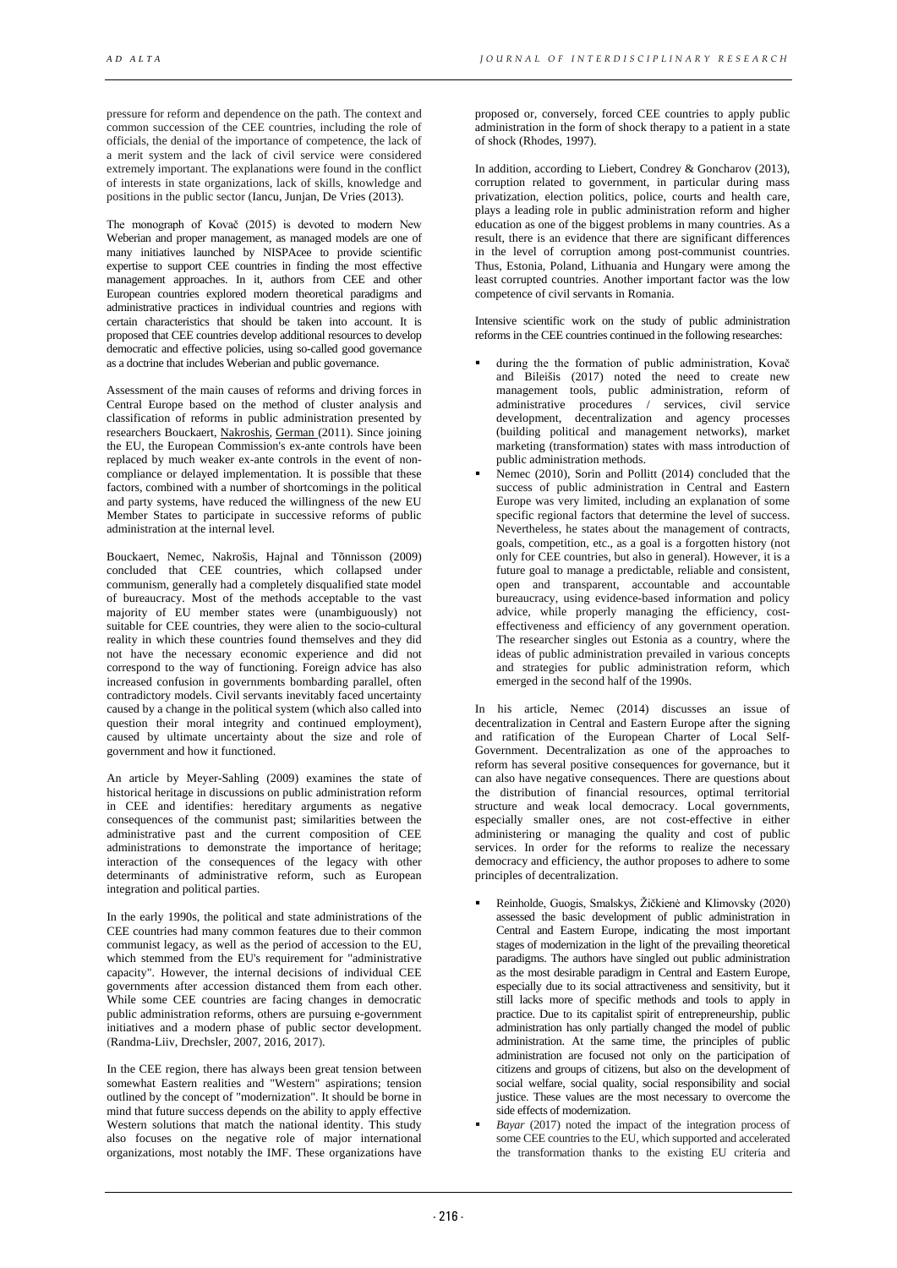pressure for reform and dependence on the path. The context and common succession of the CEE countries, including the role of officials, the denial of the importance of competence, the lack of a merit system and the lack of civil service were considered extremely important. The explanations were found in the conflict of interests in state organizations, lack of skills, knowledge and positions in the public sector (Iancu, Junjan, De Vries (2013).

The monograph of Kovač (2015) is devoted to modern New Weberian and proper management, as managed models are one of many initiatives launched by NISPAcee to provide scientific expertise to support CEE countries in finding the most effective management approaches. In it, authors from CEE and other European countries explored modern theoretical paradigms and administrative practices in individual countries and regions with certain characteristics that should be taken into account. It is proposed that CEE countries develop additional resources to develop democratic and effective policies, using so-called good governance as a doctrine that includes Weberian and public governance.

Assessment of the main causes of reforms and driving forces in Central Europe based on the method of cluster analysis and classification of reforms in public administration presented by researchers Bouckaert, [Nakroshis,](https://www.researchgate.net/profile/Vitalis-Nakrosis-2) [German](https://www.researchgate.net/profile/Juraj-Nemec) (2011). Since joining the EU, the European Commission's ex-ante controls have been replaced by much weaker ex-ante controls in the event of noncompliance or delayed implementation. It is possible that these factors, combined with a number of shortcomings in the political and party systems, have reduced the willingness of the new EU Member States to participate in successive reforms of public administration at the internal level.

Bouckaert, Nemec, Nakrošis, Hajnal and Tõnnisson (2009) concluded that CEE countries, which collapsed under communism, generally had a completely disqualified state model of bureaucracy. Most of the methods acceptable to the vast majority of EU member states were (unambiguously) not suitable for CEE countries, they were alien to the socio-cultural reality in which these countries found themselves and they did not have the necessary economic experience and did not correspond to the way of functioning. Foreign advice has also increased confusion in governments bombarding parallel, often contradictory models. Civil servants inevitably faced uncertainty caused by a change in the political system (which also called into question their moral integrity and continued employment), caused by ultimate uncertainty about the size and role of government and how it functioned.

An article by Meyer-Sahling (2009) examines the state of historical heritage in discussions on public administration reform in CEE and identifies: hereditary arguments as negative consequences of the communist past; similarities between the administrative past and the current composition of CEE administrations to demonstrate the importance of heritage; interaction of the consequences of the legacy with other determinants of administrative reform, such as European integration and political parties.

In the early 1990s, the political and state administrations of the CEE countries had many common features due to their common communist legacy, as well as the period of accession to the EU, which stemmed from the EU's requirement for "administrative capacity". However, the internal decisions of individual CEE governments after accession distanced them from each other. While some CEE countries are facing changes in democratic public administration reforms, others are pursuing e-government initiatives and a modern phase of public sector development. (Randma-Liiv, Drechsler, 2007, 2016, 2017).

In the CEE region, there has always been great tension between somewhat Eastern realities and "Western" aspirations; tension outlined by the concept of "modernization". It should be borne in mind that future success depends on the ability to apply effective Western solutions that match the national identity. This study also focuses on the negative role of major international organizations, most notably the IMF. These organizations have

proposed or, conversely, forced CEE countries to apply public administration in the form of shock therapy to a patient in a state of shock (Rhodes, 1997).

In addition, according to Liebert, Condrey & Goncharov (2013), corruption related to government, in particular during mass privatization, election politics, police, courts and health care, plays a leading role in public administration reform and higher education as one of the biggest problems in many countries. As a result, there is an evidence that there are significant differences in the level of corruption among post-communist countries. Thus, Estonia, Poland, Lithuania and Hungary were among the least corrupted countries. Another important factor was the low competence of civil servants in Romania.

Intensive scientific work on the study of public administration reforms in the CEE countries continued in the following researches:

- during the the formation of public administration, Kovač and Bileišis (2017) noted the need to create new management tools, public administration, reform of administrative procedures / services, civil service development, decentralization and agency processes (building political and management networks), market marketing (transformation) states with mass introduction of public administration methods.
- Nemec (2010), Sorin and Pollitt (2014) concluded that the success of public administration in Central and Eastern Europe was very limited, including an explanation of some specific regional factors that determine the level of success. Nevertheless, he states about the management of contracts, goals, competition, etc., as a goal is a forgotten history (not only for CEE countries, but also in general). However, it is a future goal to manage a predictable, reliable and consistent, open and transparent, accountable and accountable bureaucracy, using evidence-based information and policy advice, while properly managing the efficiency, costeffectiveness and efficiency of any government operation. The researcher singles out Estonia as a country, where the ideas of public administration prevailed in various concepts and strategies for public administration reform, which emerged in the second half of the 1990s.

In his article, Nemec (2014) discusses an issue of decentralization in Central and Eastern Europe after the signing and ratification of the European Charter of Local Self-Government. Decentralization as one of the approaches to reform has several positive consequences for governance, but it can also have negative consequences. There are questions about the distribution of financial resources, optimal territorial structure and weak local democracy. Local governments, especially smaller ones, are not cost-effective in either administering or managing the quality and cost of public services. In order for the reforms to realize the necessary democracy and efficiency, the author proposes to adhere to some principles of decentralization.

- Reinholde, Guogis, Smalskys, Žičkienė and Klimovsky (2020) assessed the basic development of public administration in Central and Eastern Europe, indicating the most important stages of modernization in the light of the prevailing theoretical paradigms. The authors have singled out public administration as the most desirable paradigm in Central and Eastern Europe, especially due to its social attractiveness and sensitivity, but it still lacks more of specific methods and tools to apply in practice. Due to its capitalist spirit of entrepreneurship, public administration has only partially changed the model of public administration. At the same time, the principles of public administration are focused not only on the participation of citizens and groups of citizens, but also on the development of social welfare, social quality, social responsibility and social justice. These values are the most necessary to overcome the side effects of modernization.
- *Bayar* (2017) noted the impact of the integration process of some CEE countries to the EU, which supported and accelerated the transformation thanks to the existing EU criteria and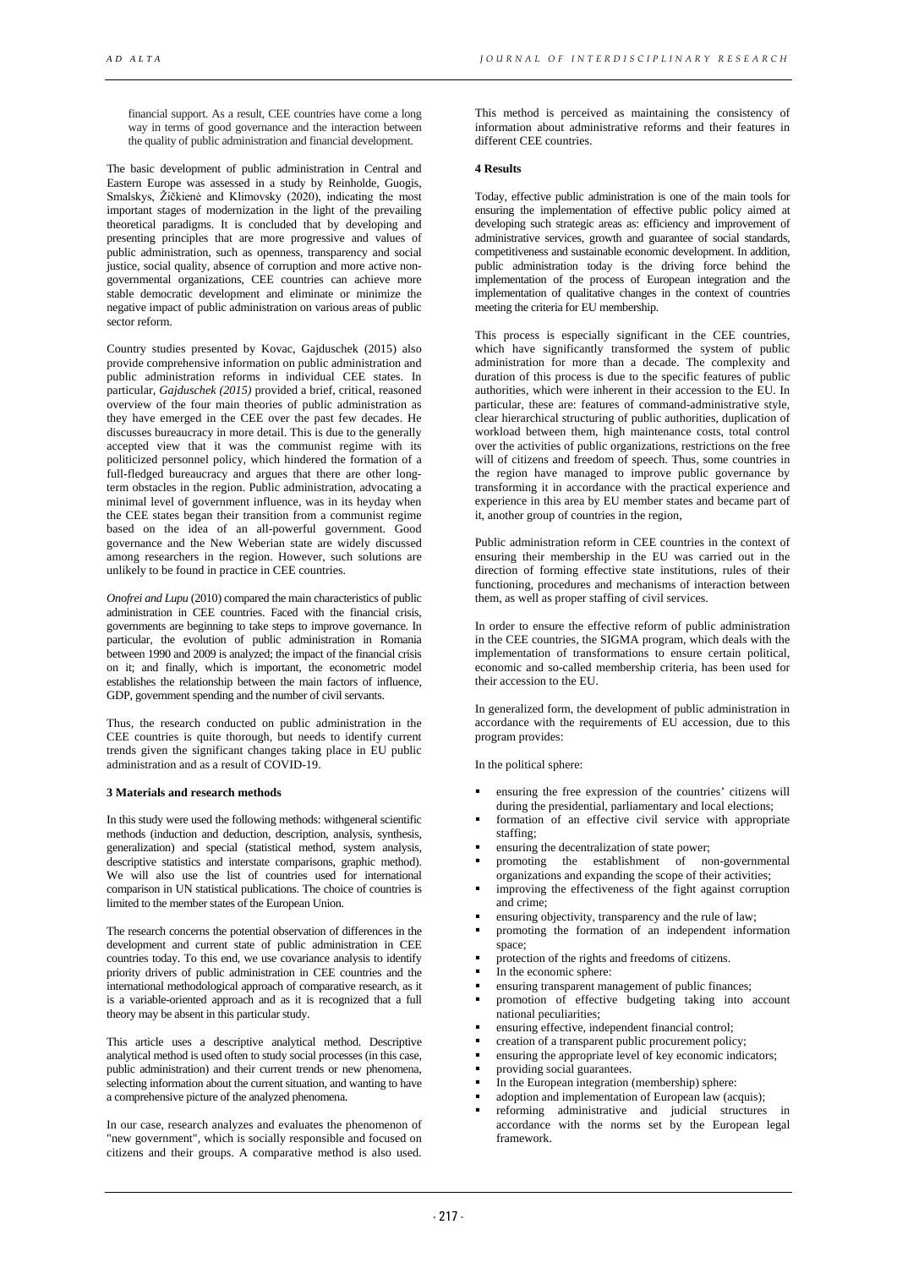financial support. As a result, CEE countries have come a long way in terms of good governance and the interaction between the quality of public administration and financial development.

The basic development of public administration in Central and Eastern Europe was assessed in a study by Reinholde, Guogis, Smalskys, Žičkienė and Klimovsky (2020), indicating the most important stages of modernization in the light of the prevailing theoretical paradigms. It is concluded that by developing and presenting principles that are more progressive and values of public administration, such as openness, transparency and social justice, social quality, absence of corruption and more active nongovernmental organizations, CEE countries can achieve more stable democratic development and eliminate or minimize the negative impact of public administration on various areas of public sector reform.

Country studies presented by Kovac, Gajduschek (2015) also provide comprehensive information on public administration and public administration reforms in individual CEE states. In particular, *Gajduschek (2015)* provided a brief, critical, reasoned overview of the four main theories of public administration as they have emerged in the CEE over the past few decades. He discusses bureaucracy in more detail. This is due to the generally accepted view that it was the communist regime with its politicized personnel policy, which hindered the formation of a full-fledged bureaucracy and argues that there are other longterm obstacles in the region. Public administration, advocating a minimal level of government influence, was in its heyday when the CEE states began their transition from a communist regime based on the idea of an all-powerful government. Good governance and the New Weberian state are widely discussed among researchers in the region. However, such solutions are unlikely to be found in practice in CEE countries.

*Onofrei and Lupu* (2010) compared the main characteristics of public administration in CEE countries. Faced with the financial crisis, governments are beginning to take steps to improve governance. In particular, the evolution of public administration in Romania between 1990 and 2009 is analyzed; the impact of the financial crisis on it; and finally, which is important, the econometric model establishes the relationship between the main factors of influence, GDP, government spending and the number of civil servants.

Thus, the research conducted on public administration in the CEE countries is quite thorough, but needs to identify current trends given the significant changes taking place in EU public administration and as a result of COVID-19.

## **3 Materials and research methods**

In this study were used the following methods: withgeneral scientific methods (induction and deduction, description, analysis, synthesis, generalization) and special (statistical method, system analysis, descriptive statistics and interstate comparisons, graphic method). We will also use the list of countries used for international comparison in UN statistical publications. The choice of countries is limited to the member states of the European Union.

The research concerns the potential observation of differences in the development and current state of public administration in CEE countries today. To this end, we use covariance analysis to identify priority drivers of public administration in CEE countries and the international methodological approach of comparative research, as it is a variable-oriented approach and as it is recognized that a full theory may be absent in this particular study.

This article uses a descriptive analytical method. Descriptive analytical method is used often to study social processes (in this case, public administration) and their current trends or new phenomena, selecting information about the current situation, and wanting to have a comprehensive picture of the analyzed phenomena.

In our case, research analyzes and evaluates the phenomenon of "new government", which is socially responsible and focused on citizens and their groups. A comparative method is also used.

This method is perceived as maintaining the consistency of information about administrative reforms and their features in different CEE countries.

#### **4 Results**

Today, effective public administration is one of the main tools for ensuring the implementation of effective public policy aimed at developing such strategic areas as: efficiency and improvement of administrative services, growth and guarantee of social standards, competitiveness and sustainable economic development. In addition, public administration today is the driving force behind the implementation of the process of European integration and the implementation of qualitative changes in the context of countries meeting the criteria for EU membership.

This process is especially significant in the CEE countries, which have significantly transformed the system of public administration for more than a decade. The complexity and duration of this process is due to the specific features of public authorities, which were inherent in their accession to the EU. In particular, these are: features of command-administrative style, clear hierarchical structuring of public authorities, duplication of workload between them, high maintenance costs, total control over the activities of public organizations, restrictions on the free will of citizens and freedom of speech. Thus, some countries in the region have managed to improve public governance by transforming it in accordance with the practical experience and experience in this area by EU member states and became part of it, another group of countries in the region,

Public administration reform in CEE countries in the context of ensuring their membership in the EU was carried out in the direction of forming effective state institutions, rules of their functioning, procedures and mechanisms of interaction between them, as well as proper staffing of civil services.

In order to ensure the effective reform of public administration in the CEE countries, the SIGMA program, which deals with the implementation of transformations to ensure certain political, economic and so-called membership criteria, has been used for their accession to the EU.

In generalized form, the development of public administration in accordance with the requirements of EU accession, due to this program provides:

In the political sphere:

- ensuring the free expression of the countries' citizens will during the presidential, parliamentary and local elections;
- formation of an effective civil service with appropriate staffing;
- ensuring the decentralization of state power;
- promoting the establishment of non-governmental organizations and expanding the scope of their activities;
- improving the effectiveness of the fight against corruption and crime;
- ensuring objectivity, transparency and the rule of law;
- promoting the formation of an independent information space;
- protection of the rights and freedoms of citizens.
- In the economic sphere:
- ensuring transparent management of public finances;
- promotion of effective budgeting taking into account national peculiarities;
- ensuring effective, independent financial control;
- creation of a transparent public procurement policy;
- ensuring the appropriate level of key economic indicators;
- providing social guarantees.
- In the European integration (membership) sphere:
- adoption and implementation of European law (acquis);
- reforming administrative and judicial structures in accordance with the norms set by the European legal framework.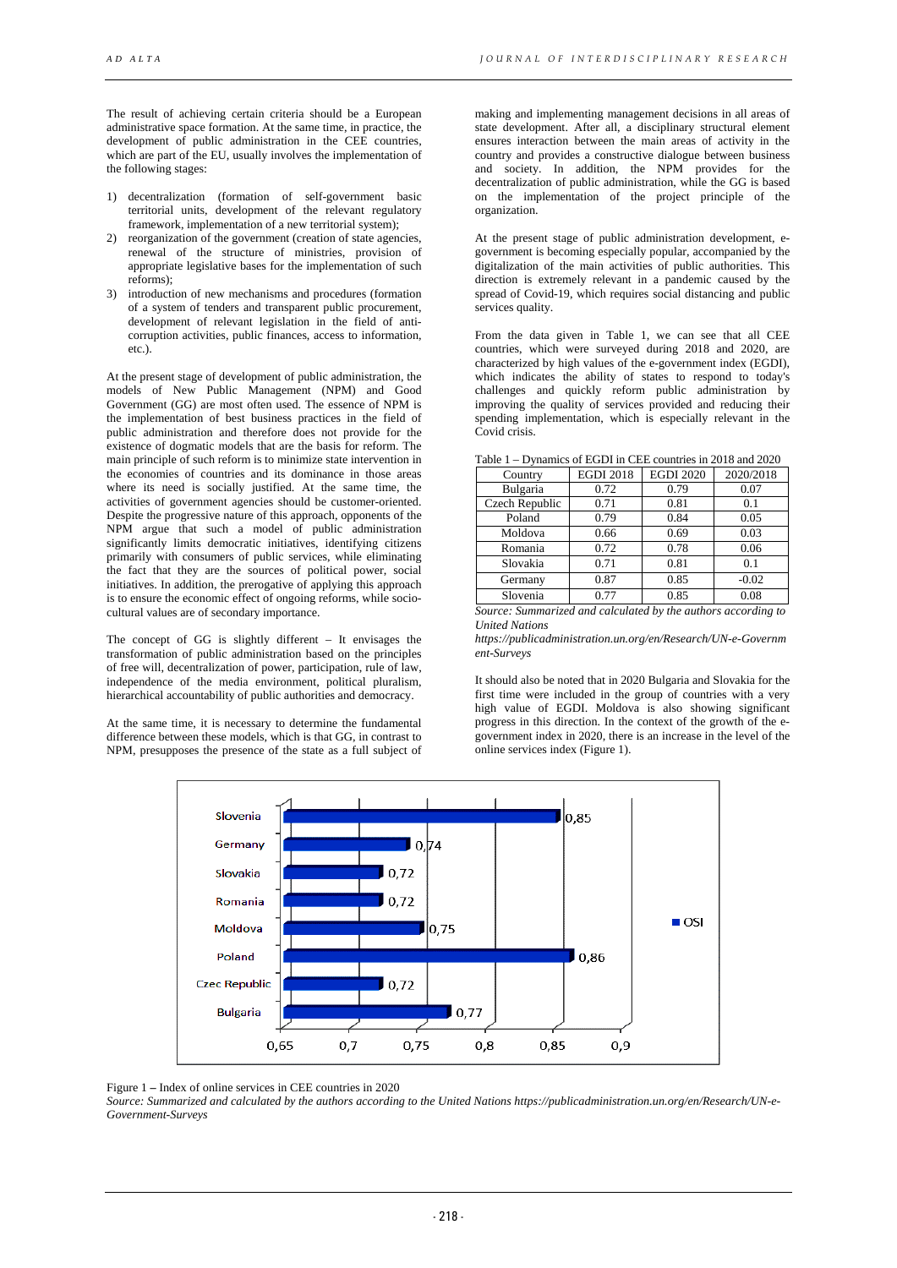The result of achieving certain criteria should be a European administrative space formation. At the same time, in practice, the development of public administration in the CEE countries, which are part of the EU, usually involves the implementation of the following stages:

- 1) decentralization (formation of self-government basic territorial units, development of the relevant regulatory framework, implementation of a new territorial system);
- 2) reorganization of the government (creation of state agencies, renewal of the structure of ministries, provision of appropriate legislative bases for the implementation of such reforms);
- 3) introduction of new mechanisms and procedures (formation of a system of tenders and transparent public procurement, development of relevant legislation in the field of anticorruption activities, public finances, access to information, etc.).

At the present stage of development of public administration, the models of New Public Management (NPM) and Good Government (GG) are most often used. The essence of NPM is the implementation of best business practices in the field of public administration and therefore does not provide for the existence of dogmatic models that are the basis for reform. The main principle of such reform is to minimize state intervention in the economies of countries and its dominance in those areas where its need is socially justified. At the same time, the activities of government agencies should be customer-oriented. Despite the progressive nature of this approach, opponents of the NPM argue that such a model of public administration significantly limits democratic initiatives, identifying citizens primarily with consumers of public services, while eliminating the fact that they are the sources of political power, social initiatives. In addition, the prerogative of applying this approach is to ensure the economic effect of ongoing reforms, while sociocultural values are of secondary importance.

The concept of GG is slightly different – It envisages the transformation of public administration based on the principles of free will, decentralization of power, participation, rule of law, independence of the media environment, political pluralism, hierarchical accountability of public authorities and democracy.

At the same time, it is necessary to determine the fundamental difference between these models, which is that GG, in contrast to NPM, presupposes the presence of the state as a full subject of

making and implementing management decisions in all areas of state development. After all, a disciplinary structural element ensures interaction between the main areas of activity in the country and provides a constructive dialogue between business and society. In addition, the NPM provides for the decentralization of public administration, while the GG is based on the implementation of the project principle of the organization.

At the present stage of public administration development, egovernment is becoming especially popular, accompanied by the digitalization of the main activities of public authorities. This direction is extremely relevant in a pandemic caused by the spread of Covid-19, which requires social distancing and public services quality.

From the data given in Table 1, we can see that all CEE countries, which were surveyed during 2018 and 2020, are characterized by high values of the e-government index (EGDI), which indicates the ability of states to respond to today's challenges and quickly reform public administration by improving the quality of services provided and reducing their spending implementation, which is especially relevant in the Covid crisis.

| Table 1 – Dynamics of EGDI in CEE countries in 2018 and 2020 |                  |                  |           |  |  |  |
|--------------------------------------------------------------|------------------|------------------|-----------|--|--|--|
| Country                                                      | <b>EGDI 2018</b> | <b>EGDI 2020</b> | 2020/2018 |  |  |  |
| Bulgaria                                                     | 0.72             | 0.79             | 0.07      |  |  |  |
| Czech Republic                                               | 0.71             | 0.81             | 0.1       |  |  |  |
| Poland                                                       | 0.79             | 0.84             | 0.05      |  |  |  |
| Moldova                                                      | 0.66             | 0.69             | 0.03      |  |  |  |
| Romania                                                      | 0.72             | 0.78             | 0.06      |  |  |  |
| Slovakia                                                     | 0.71             | 0.81             | 0.1       |  |  |  |
| Germany                                                      | 0.87             | 0.85             | $-0.02$   |  |  |  |
| Slovenia                                                     | 0.77             | 0.85             | 0.08      |  |  |  |
|                                                              |                  |                  |           |  |  |  |

Table 1 – Dynamics of EGDI in CEE countries in 2018 and 2020

*Source: Summarized and calculated by the authors according to <i>United Nations* 

*https://publicadministration.un.org/en/Research/UN-e-Governm ent-Surveys* 

It should also be noted that in 2020 Bulgaria and Slovakia for the first time were included in the group of countries with a very high value of EGDI. Moldova is also showing significant progress in this direction. In the context of the growth of the egovernment index in 2020, there is an increase in the level of the online services index (Figure 1).



Figure 1 **–** Index of online services in CEE countries in 2020

*Source: Summarized and calculated by the authors according to the United Nations https://publicadministration.un.org/en/Research/UN-e-Government-Surveys*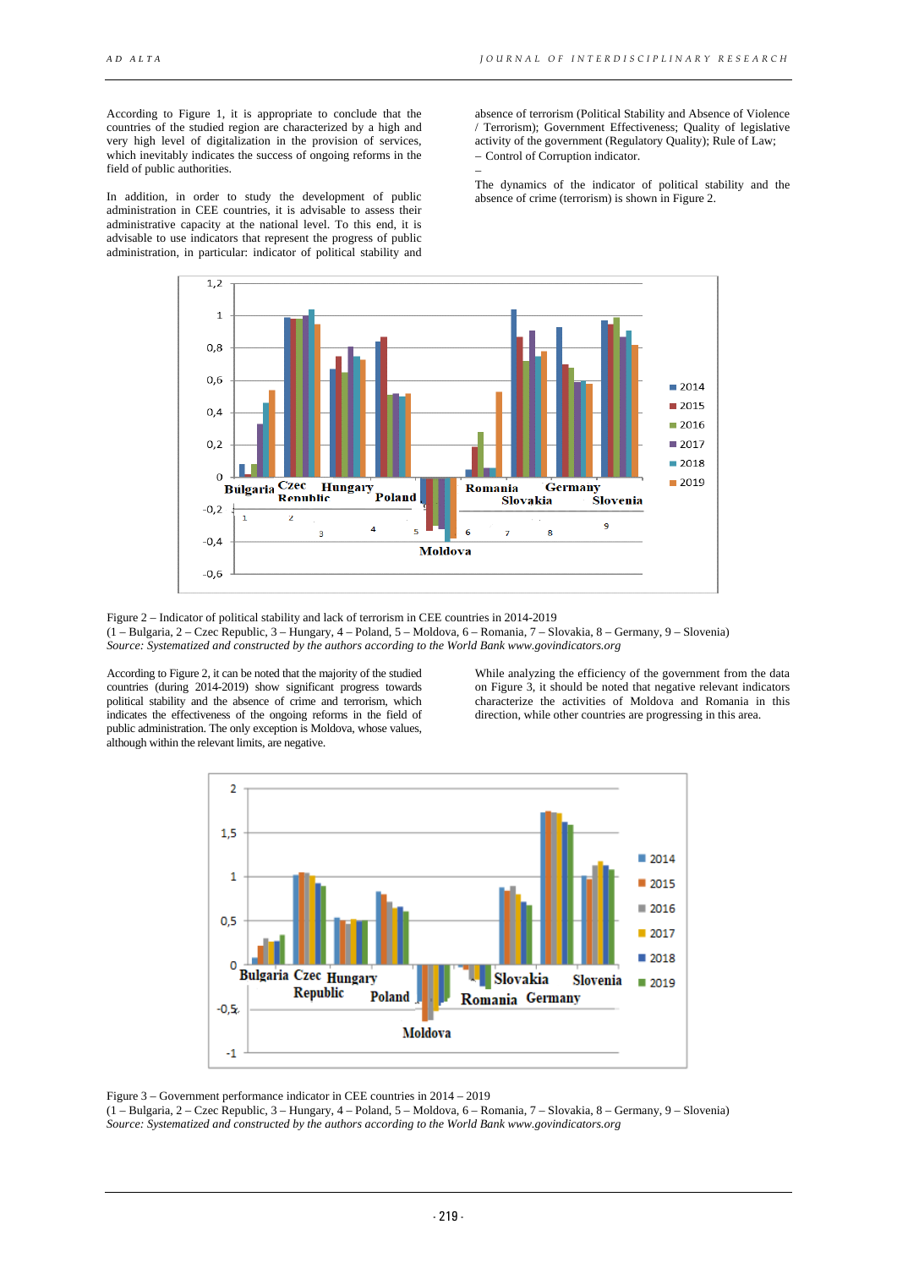According to Figure 1, it is appropriate to conclude that the countries of the studied region are characterized by a high and very high level of digitalization in the provision of services, which inevitably indicates the success of ongoing reforms in the field of public authorities.

In addition, in order to study the development of public administration in CEE countries, it is advisable to assess their administrative capacity at the national level. To this end, it is advisable to use indicators that represent the progress of public administration, in particular: indicator of political stability and

absence of terrorism (Political Stability and Absence of Violence / Terrorism); Government Effectiveness; Quality of legislative activity of the government (Regulatory Quality); Rule of Law; − Control of Corruption indicator.

The dynamics of the indicator of political stability and the absence of crime (terrorism) is shown in Figure 2.



−

Figure 2 – Indicator of political stability and lack of terrorism in CEE countries in 2014-2019 (1 – Bulgaria, 2 – Czec Republic, 3 – Hungary, 4 – Poland, 5 – Moldova, 6 – Romania, 7 – Slovakia, 8 – Germany, 9 – Slovenia) *Source: Systematized and constructed by the authors according to the World Bank www.govindicators.org*

According to Figure 2, it can be noted that the majority of the studied countries (during 2014-2019) show significant progress towards political stability and the absence of crime and terrorism, which indicates the effectiveness of the ongoing reforms in the field of public administration. The only exception is Moldova, whose values, although within the relevant limits, are negative.

While analyzing the efficiency of the government from the data on Figure 3, it should be noted that negative relevant indicators characterize the activities of Moldova and Romania in this direction, while other countries are progressing in this area.



Figure 3 – Government performance indicator in CEE countries in 2014 – 2019

(1 – Bulgaria, 2 – Czec Republic, 3 – Hungary, 4 – Poland, 5 – Moldova, 6 – Romania, 7 – Slovakia, 8 – Germany, 9 – Slovenia) *Source: Systematized and constructed by the authors according to the World Bank www.govindicators.org*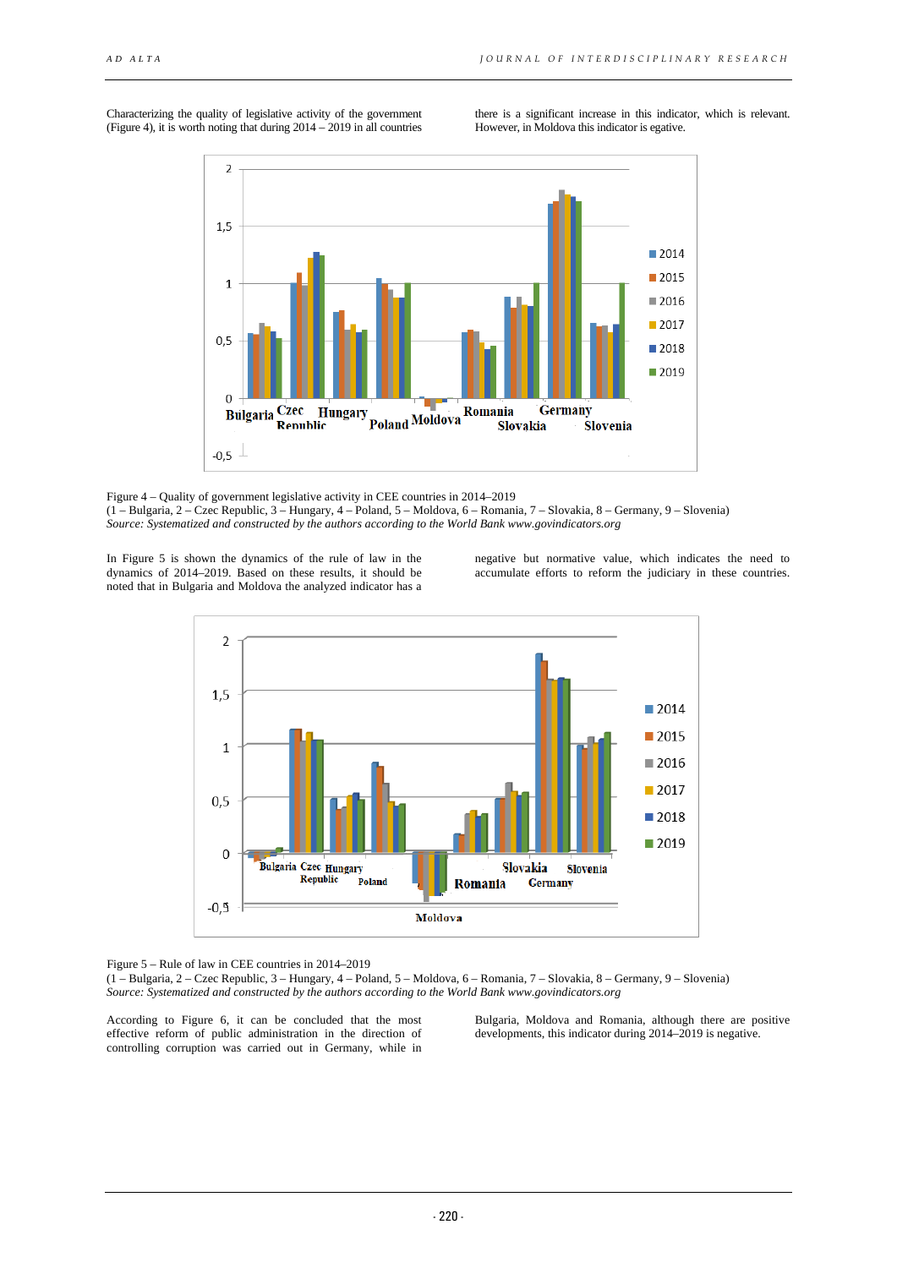Characterizing the quality of legislative activity of the government (Figure 4), it is worth noting that during  $2014 - 2019$  in all countries there is a significant increase in this indicator, which is relevant. However, in Moldova this indicator is egative.



Figure 4 – Quality of government legislative activity in CEE countries in 2014–2019 (1 – Bulgaria, 2 – Czec Republic, 3 – Hungary, 4 – Poland, 5 – Moldova, 6 – Romania, 7 – Slovakia, 8 – Germany, 9 – Slovenia) *Source: Systematized and constructed by the authors according to the World Bank www.govindicators.org*

In Figure 5 is shown the dynamics of the rule of law in the dynamics of 2014–2019. Based on these results, it should be noted that in Bulgaria and Moldova the analyzed indicator has a

negative but normative value, which indicates the need to accumulate efforts to reform the judiciary in these countries.



Figure 5 – Rule of law in CEE countries in 2014–2019

(1 – Bulgaria, 2 – Czec Republic, 3 – Hungary, 4 – Poland, 5 – Moldova, 6 – Romania, 7 – Slovakia, 8 – Germany, 9 – Slovenia) *Source: Systematized and constructed by the authors according to the World Ban[k www.govindicators.org](http://www.govindicators.org/)*

According to Figure 6, it can be concluded that the most effective reform of public administration in the direction of controlling corruption was carried out in Germany, while in

Bulgaria, Moldova and Romania, although there are positive developments, this indicator during 2014–2019 is negative.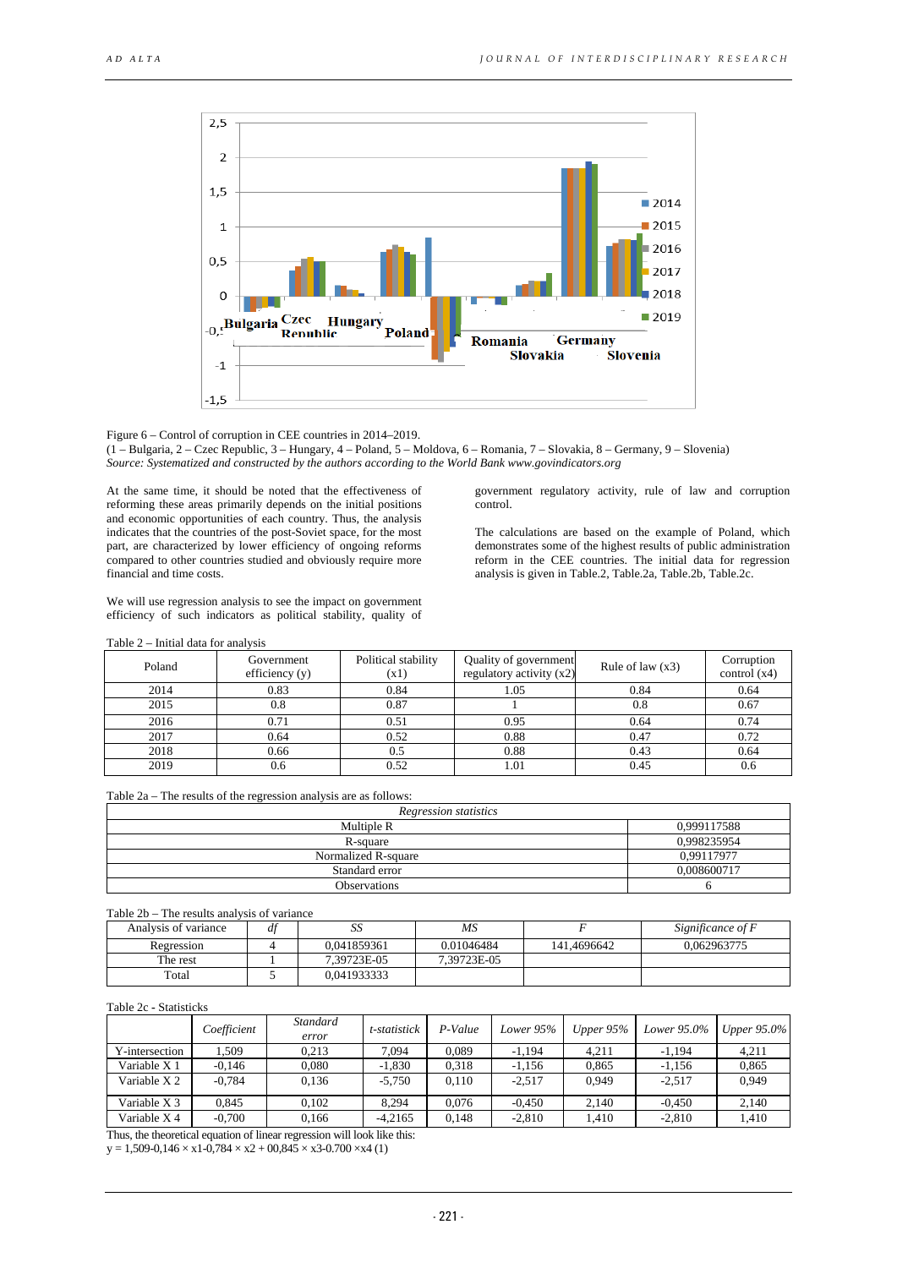

Figure 6 – Control of corruption in CEE countries in 2014–2019. (1 – Bulgaria, 2 – Czec Republic, 3 – Hungary, 4 – Poland, 5 – Moldova, 6 – Romania, 7 – Slovakia, 8 – Germany, 9 – Slovenia) *Source: Systematized and constructed by the authors according to the World Ban[k www.govindicators.org](http://www.govindicators.org/)*

At the same time, it should be noted that the effectiveness of reforming these areas primarily depends on the initial positions and economic opportunities of each country. Thus, the analysis indicates that the countries of the post-Soviet space, for the most part, are characterized by lower efficiency of ongoing reforms compared to other countries studied and obviously require more financial and time costs.

We will use regression analysis to see the impact on government efficiency of such indicators as political stability, quality of

government regulatory activity, rule of law and corruption control.

The calculations are based on the example of Poland, which demonstrates some of the highest results of public administration reform in the CEE countries. The initial data for regression analysis is given in Table.2, Table.2a, Table.2b, Table.2c.

| Poland | Government<br>efficiency $(y)$ | Political stability<br>(x1) | Quality of government<br>regulatory activity $(x2)$ | Rule of law $(x3)$ | Corruption<br>control $(x4)$ |
|--------|--------------------------------|-----------------------------|-----------------------------------------------------|--------------------|------------------------------|
| 2014   | 0.83                           | 0.84                        | 1.05                                                | 0.84               | 0.64                         |
| 2015   | 0.8                            | 0.87                        |                                                     | 0.8                | 0.67                         |
| 2016   | 0.71                           | 0.51                        | 0.95                                                | 0.64               | 0.74                         |
| 2017   | 0.64                           | 0.52                        | 0.88                                                | 0.47               | 0.72                         |
| 2018   | 0.66                           | 0.5                         | 0.88                                                | 0.43               | 0.64                         |
| 2019   | 0.6                            | 0.52                        | 1.01                                                | 0.45               | 0.6                          |

## Table 2 – Initial data for analysis

| Table 2a – The results of the regression analysis are as follows: |  |
|-------------------------------------------------------------------|--|
|-------------------------------------------------------------------|--|

| Regression statistics |             |  |  |  |  |
|-----------------------|-------------|--|--|--|--|
| Multiple R            | 0,999117588 |  |  |  |  |
| R-square              | 0.998235954 |  |  |  |  |
| Normalized R-square   | 0,99117977  |  |  |  |  |
| Standard error        | 0.008600717 |  |  |  |  |
| <b>Observations</b>   |             |  |  |  |  |

# Table 2b – The results analysis of variance

| Analysis of variance | df | ມມ          | MS          |             | Significance of F |
|----------------------|----|-------------|-------------|-------------|-------------------|
| Regression           |    | 0.041859361 | 0.01046484  | 141.4696642 | 0.062963775       |
| The rest             |    | 7.39723E-05 | 7.39723E-05 |             |                   |
| Total                |    | 0.041933333 |             |             |                   |

### Table 2c **-** Statisticks

|                | Coefficient | Standard<br>error | t-statistick | P-Value | Lower 95% | Upper $95\%$ | Lower 95.0% | Upper $95.0\%$ |
|----------------|-------------|-------------------|--------------|---------|-----------|--------------|-------------|----------------|
| Y-intersection | .509        | 0.213             | 7.094        | 0.089   | $-1.194$  | 4.211        | $-1.194$    | 4.211          |
| Variable X 1   | $-0.146$    | 0.080             | $-1.830$     | 0.318   | $-1,156$  | 0.865        | $-1.156$    | 0.865          |
| Variable X 2   | $-0.784$    | 0.136             | $-5.750$     | 0.110   | $-2.517$  | 0.949        | $-2.517$    | 0.949          |
| Variable X 3   | 0.845       | 0.102             | 8.294        | 0.076   | $-0.450$  | 2.140        | $-0.450$    | 2.140          |
| Variable X 4   | $-0.700$    | 0.166             | $-4.2165$    | 0.148   | $-2.810$  | 1.410        | $-2.810$    | 1.410          |

Thus, the theoretical equation of linear regression will look like this:

 $y = 1,509-0,146 \times x1-0,784 \times x2+00,845 \times x3-0.700 \times x4$  (1)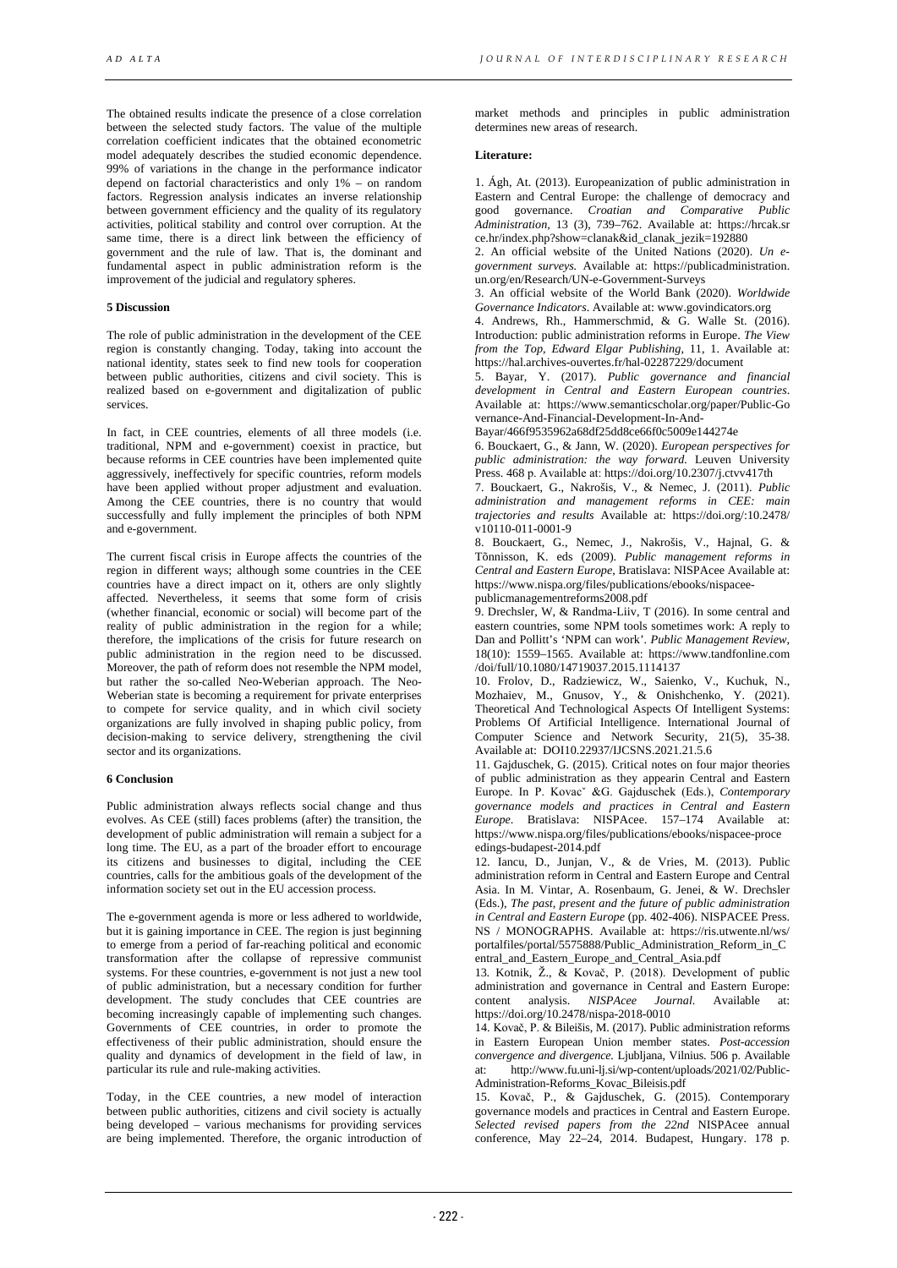The obtained results indicate the presence of a close correlation between the selected study factors. The value of the multiple correlation coefficient indicates that the obtained econometric model adequately describes the studied economic dependence. 99% of variations in the change in the performance indicator depend on factorial characteristics and only 1% – on random factors. Regression analysis indicates an inverse relationship between government efficiency and the quality of its regulatory activities, political stability and control over corruption. At the same time, there is a direct link between the efficiency of government and the rule of law. That is, the dominant and fundamental aspect in public administration reform is the improvement of the judicial and regulatory spheres.

## **5 Discussion**

The role of public administration in the development of the CEE region is constantly changing. Today, taking into account the national identity, states seek to find new tools for cooperation between public authorities, citizens and civil society. This is realized based on e-government and digitalization of public services.

In fact, in CEE countries, elements of all three models (i.e. traditional, NPM and e-government) coexist in practice, but because reforms in CEE countries have been implemented quite aggressively, ineffectively for specific countries, reform models have been applied without proper adjustment and evaluation. Among the CEE countries, there is no country that would successfully and fully implement the principles of both NPM and e-government.

The current fiscal crisis in Europe affects the countries of the region in different ways; although some countries in the CEE countries have a direct impact on it, others are only slightly affected. Nevertheless, it seems that some form of crisis (whether financial, economic or social) will become part of the reality of public administration in the region for a while; therefore, the implications of the crisis for future research on public administration in the region need to be discussed. Moreover, the path of reform does not resemble the NPM model, but rather the so-called Neo-Weberian approach. The Neo-Weberian state is becoming a requirement for private enterprises to compete for service quality, and in which civil society organizations are fully involved in shaping public policy, from decision-making to service delivery, strengthening the civil sector and its organizations.

### **6 Conclusion**

Public administration always reflects social change and thus evolves. As CEE (still) faces problems (after) the transition, the development of public administration will remain a subject for a long time. The EU, as a part of the broader effort to encourage its citizens and businesses to digital, including the CEE countries, calls for the ambitious goals of the development of the information society set out in the EU accession process.

The e-government agenda is more or less adhered to worldwide, but it is gaining importance in CEE. The region is just beginning to emerge from a period of far-reaching political and economic transformation after the collapse of repressive communist systems. For these countries, e-government is not just a new tool of public administration, but a necessary condition for further development. The study concludes that CEE countries are becoming increasingly capable of implementing such changes. Governments of CEE countries, in order to promote the effectiveness of their public administration, should ensure the quality and dynamics of development in the field of law, in particular its rule and rule-making activities.

Today, in the CEE countries, a new model of interaction between public authorities, citizens and civil society is actually being developed – various mechanisms for providing services are being implemented. Therefore, the organic introduction of

market methods and principles in public administration determines new areas of research.

## **Literature:**

1. Ágh, At. (2013). Europeanization of public administration in Eastern and Central Europe: the challenge of democracy and good governance. Croatian and Comparative Public good governance. *Croatian and Comparative Public Administration,* 13 (3), 739–762. Available at: https://hrcak.sr ce.hr/index.php?show=clanak&id\_clanak\_jezik=192880

2. An official website of the United Nations (2020). *Un egovernment surveys.* Available at: https://publicadministration. un.org/en/Research/UN-e-Government-Surveys

3. An official website of the World Bank (2020). *Worldwide Governance Indicators*. Available at: www.govindicators.org

4. Andrews, Rh., Hammerschmid, & G. Walle St. (2016). Introduction: public administration reforms in Europe. *The View from the Top, Edward Elgar Publishing*, 11, 1. Available at: https://hal.archives-ouvertes.fr/hal-02287229/document

5. Bayar, Y. (2017). *Public governance and financial development in Central and Eastern European countries*. Available at: https://www.semanticscholar.org/paper/Public-Go vernance-And-Financial-Development-In-And-

Bayar/466f9535962a68df25dd8ce66f0c5009e144274e

6. Bouckaert, G., & Jann, W. (2020). *European perspectives for public administration: the way forward.* Leuven University Press. 468 p. Available at: https://doi.org/10.2307/j.ctvv417th

7. Bouckaert, G., Nakrošis, V., & Nemec, J. (2011). *Public administration and management reforms in CEE: main trajectories and results* Available at: https://doi.org/:10.2478/ v10110-011-0001-9

8. Bouckaert, G., Nemec, J., Nakrošis, V., Hajnal, G. & Tõnnisson, K. eds (2009). *Public management reforms in Central and Eastern Europe*, Bratislava: NISPAcee Available at: https://www.nispa.org/files/publications/ebooks/nispaceepublicmanagementreforms2008.pdf

9. Drechsler, W, & Randma-Liiv, T (2016). In some central and eastern countries, some NPM tools sometimes work: A reply to Dan and Pollitt's 'NPM can work'. *Public Management Review*, 18(10): 1559–1565. Available at: https://www.tandfonline.com /doi/full/10.1080/14719037.2015.1114137

10. Frolov, D., Radziewicz, W., Saienko, V., Kuchuk, N., Mozhaiev, M., Gnusov, Y., & Onishchenko, Y. (2021). Theoretical And Technological Aspects Of Intelligent Systems: Problems Of Artificial Intelligence. International Journal of Computer Science and Network Security, 21(5), 35-38. Available at: DOI10.22937/IJCSNS.2021.21.5.6

11. Gajduschek, G. (2015). Critical notes on four major theories of public administration as they appearin Central and Eastern Europe. In P. Kovacˇ &G. Gajduschek (Eds.), *Contemporary governance models and practices in Central and Eastern Europe*. Bratislava: NISPAcee. 157–174 Available at: https://www.nispa.org/files/publications/ebooks/nispacee-proce edings-budapest-2014.pdf

12. Iancu, D., Junjan, V., & de Vries, M. (2013). Public administration reform in Central and Eastern Europe and Central Asia. In M. Vintar, A. Rosenbaum, G. Jenei, & W. Drechsler (Eds.), *The past, present and the future of public administration in Central and Eastern Europe* (pp. 402-406). NISPACEE Press. NS / MONOGRAPHS. Available at: https://ris.utwente.nl/ws/ portalfiles/portal/5575888/Public\_Administration\_Reform\_in\_C entral\_and\_Eastern\_Europe\_and\_Central\_Asia.pdf

13. Kotnik, Ž., & Kovač, P. (2018). Development of public administration and governance in Central and Eastern Europe:<br>
content analysis *NISPAcee Journal*. Available at: analysis. *NISPAcee Journal*. Available at: https://doi.org/10.2478/nispa-2018-0010

14. Kovač, P. & Bileišis, M. (2017). Public administration reforms in Eastern European Union member states. *Post-accession convergence and divergence.* Ljubljana, Vilnius. 506 р. Available at: http://www.fu.uni-lj.si/wp-content/uploads/2021/02/Public-Administration-Reforms\_Kovac\_Bileisis.pdf

15. Kovač, P., & Gajduschek, G. (2015). Contemporary governance models and practices in Central and Eastern Europe. *Selected revised papers from the 22nd* NISPAcee annual conference, May 22–24, 2014. Budapest, Hungary. 178 р.